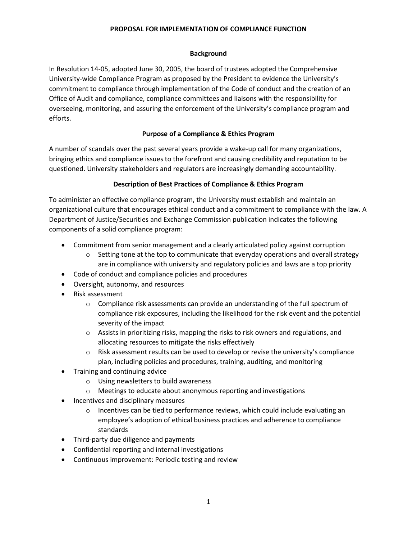### **Background**

In Resolution 14-05, adopted June 30, 2005, the board of trustees adopted the Comprehensive University-wide Compliance Program as proposed by the President to evidence the University's commitment to compliance through implementation of the Code of conduct and the creation of an Office of Audit and compliance, compliance committees and liaisons with the responsibility for overseeing, monitoring, and assuring the enforcement of the University's compliance program and efforts.

### **Purpose of a Compliance & Ethics Program**

A number of scandals over the past several years provide a wake-up call for many organizations, bringing ethics and compliance issues to the forefront and causing credibility and reputation to be questioned. University stakeholders and regulators are increasingly demanding accountability.

## **Description of Best Practices of Compliance & Ethics Program**

To administer an effective compliance program, the University must establish and maintain an organizational culture that encourages ethical conduct and a commitment to compliance with the law. A Department of Justice/Securities and Exchange Commission publication indicates the following components of a solid compliance program:

- Commitment from senior management and a clearly articulated policy against corruption
	- $\circ$  Setting tone at the top to communicate that everyday operations and overall strategy are in compliance with university and regulatory policies and laws are a top priority
- Code of conduct and compliance policies and procedures
- Oversight, autonomy, and resources
- Risk assessment
	- $\circ$  Compliance risk assessments can provide an understanding of the full spectrum of compliance risk exposures, including the likelihood for the risk event and the potential severity of the impact
	- $\circ$  Assists in prioritizing risks, mapping the risks to risk owners and regulations, and allocating resources to mitigate the risks effectively
	- $\circ$  Risk assessment results can be used to develop or revise the university's compliance plan, including policies and procedures, training, auditing, and monitoring
- Training and continuing advice
	- o Using newsletters to build awareness
	- o Meetings to educate about anonymous reporting and investigations
- Incentives and disciplinary measures
	- $\circ$  Incentives can be tied to performance reviews, which could include evaluating an employee's adoption of ethical business practices and adherence to compliance standards
- Third-party due diligence and payments
- Confidential reporting and internal investigations
- Continuous improvement: Periodic testing and review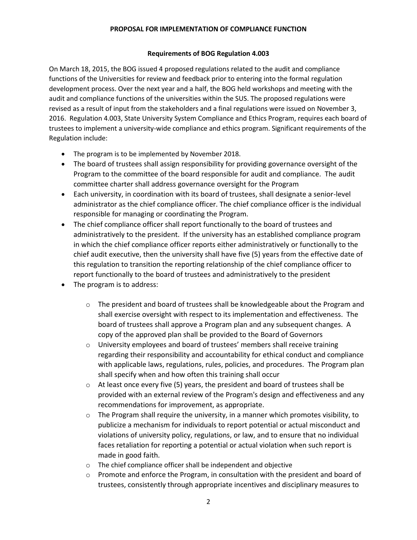### **Requirements of BOG Regulation 4.003**

On March 18, 2015, the BOG issued 4 proposed regulations related to the audit and compliance functions of the Universities for review and feedback prior to entering into the formal regulation development process. Over the next year and a half, the BOG held workshops and meeting with the audit and compliance functions of the universities within the SUS. The proposed regulations were revised as a result of input from the stakeholders and a final regulations were issued on November 3, 2016. Regulation 4.003, State University System Compliance and Ethics Program, requires each board of trustees to implement a university-wide compliance and ethics program. Significant requirements of the Regulation include:

- The program is to be implemented by November 2018.
- The board of trustees shall assign responsibility for providing governance oversight of the Program to the committee of the board responsible for audit and compliance. The audit committee charter shall address governance oversight for the Program
- Each university, in coordination with its board of trustees, shall designate a senior-level administrator as the chief compliance officer. The chief compliance officer is the individual responsible for managing or coordinating the Program.
- The chief compliance officer shall report functionally to the board of trustees and administratively to the president. If the university has an established compliance program in which the chief compliance officer reports either administratively or functionally to the chief audit executive, then the university shall have five (5) years from the effective date of this regulation to transition the reporting relationship of the chief compliance officer to report functionally to the board of trustees and administratively to the president
- The program is to address:
	- $\circ$  The president and board of trustees shall be knowledgeable about the Program and shall exercise oversight with respect to its implementation and effectiveness. The board of trustees shall approve a Program plan and any subsequent changes. A copy of the approved plan shall be provided to the Board of Governors
	- o University employees and board of trustees' members shall receive training regarding their responsibility and accountability for ethical conduct and compliance with applicable laws, regulations, rules, policies, and procedures. The Program plan shall specify when and how often this training shall occur
	- $\circ$  At least once every five (5) years, the president and board of trustees shall be provided with an external review of the Program's design and effectiveness and any recommendations for improvement, as appropriate.
	- $\circ$  The Program shall require the university, in a manner which promotes visibility, to publicize a mechanism for individuals to report potential or actual misconduct and violations of university policy, regulations, or law, and to ensure that no individual faces retaliation for reporting a potential or actual violation when such report is made in good faith.
	- o The chief compliance officer shall be independent and objective
	- $\circ$  Promote and enforce the Program, in consultation with the president and board of trustees, consistently through appropriate incentives and disciplinary measures to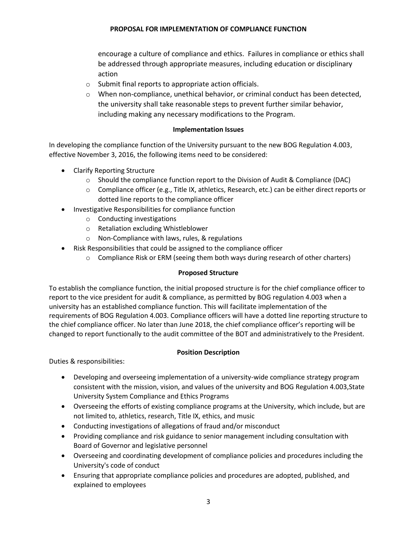encourage a culture of compliance and ethics. Failures in compliance or ethics shall be addressed through appropriate measures, including education or disciplinary action

- o Submit final reports to appropriate action officials.
- $\circ$  When non-compliance, unethical behavior, or criminal conduct has been detected, the university shall take reasonable steps to prevent further similar behavior, including making any necessary modifications to the Program.

## **Implementation Issues**

In developing the compliance function of the University pursuant to the new BOG Regulation 4.003, effective November 3, 2016, the following items need to be considered:

- Clarify Reporting Structure
	- o Should the compliance function report to the Division of Audit & Compliance (DAC)
	- o Compliance officer (e.g., Title IX, athletics, Research, etc.) can be either direct reports or dotted line reports to the compliance officer
- Investigative Responsibilities for compliance function
	- o Conducting investigations
	- o Retaliation excluding Whistleblower
	- o Non-Compliance with laws, rules, & regulations
- Risk Responsibilities that could be assigned to the compliance officer
	- $\circ$  Compliance Risk or ERM (seeing them both ways during research of other charters)

### **Proposed Structure**

To establish the compliance function, the initial proposed structure is for the chief compliance officer to report to the vice president for audit & compliance, as permitted by BOG regulation 4.003 when a university has an established compliance function. This will facilitate implementation of the requirements of BOG Regulation 4.003. Compliance officers will have a dotted line reporting structure to the chief compliance officer. No later than June 2018, the chief compliance officer's reporting will be changed to report functionally to the audit committee of the BOT and administratively to the President.

## **Position Description**

Duties & responsibilities:

- Developing and overseeing implementation of a university-wide compliance strategy program consistent with the mission, vision, and values of the university and BOG Regulation 4.003,State University System Compliance and Ethics Programs
- Overseeing the efforts of existing compliance programs at the University, which include, but are not limited to, athletics, research, Title IX, ethics, and music
- Conducting investigations of allegations of fraud and/or misconduct
- Providing compliance and risk guidance to senior management including consultation with Board of Governor and legislative personnel
- Overseeing and coordinating development of compliance policies and procedures including the University's code of conduct
- Ensuring that appropriate compliance policies and procedures are adopted, published, and explained to employees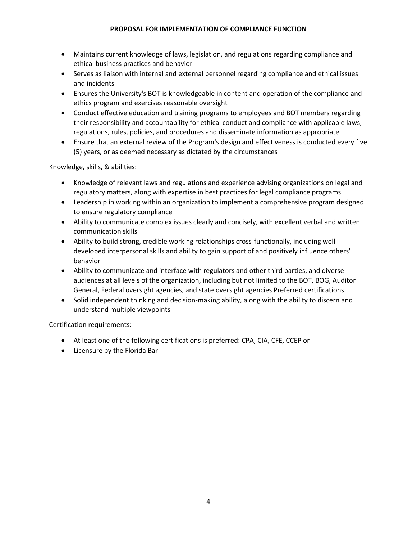- Maintains current knowledge of laws, legislation, and regulations regarding compliance and ethical business practices and behavior
- Serves as liaison with internal and external personnel regarding compliance and ethical issues and incidents
- Ensures the University's BOT is knowledgeable in content and operation of the compliance and ethics program and exercises reasonable oversight
- Conduct effective education and training programs to employees and BOT members regarding their responsibility and accountability for ethical conduct and compliance with applicable laws, regulations, rules, policies, and procedures and disseminate information as appropriate
- Ensure that an external review of the Program's design and effectiveness is conducted every five (5) years, or as deemed necessary as dictated by the circumstances

Knowledge, skills, & abilities:

- Knowledge of relevant laws and regulations and experience advising organizations on legal and regulatory matters, along with expertise in best practices for legal compliance programs
- Leadership in working within an organization to implement a comprehensive program designed to ensure regulatory compliance
- Ability to communicate complex issues clearly and concisely, with excellent verbal and written communication skills
- Ability to build strong, credible working relationships cross-functionally, including welldeveloped interpersonal skills and ability to gain support of and positively influence others' behavior
- Ability to communicate and interface with regulators and other third parties, and diverse audiences at all levels of the organization, including but not limited to the BOT, BOG, Auditor General, Federal oversight agencies, and state oversight agencies Preferred certifications
- Solid independent thinking and decision-making ability, along with the ability to discern and understand multiple viewpoints

Certification requirements:

- At least one of the following certifications is preferred: CPA, CIA, CFE, CCEP or
- Licensure by the Florida Bar